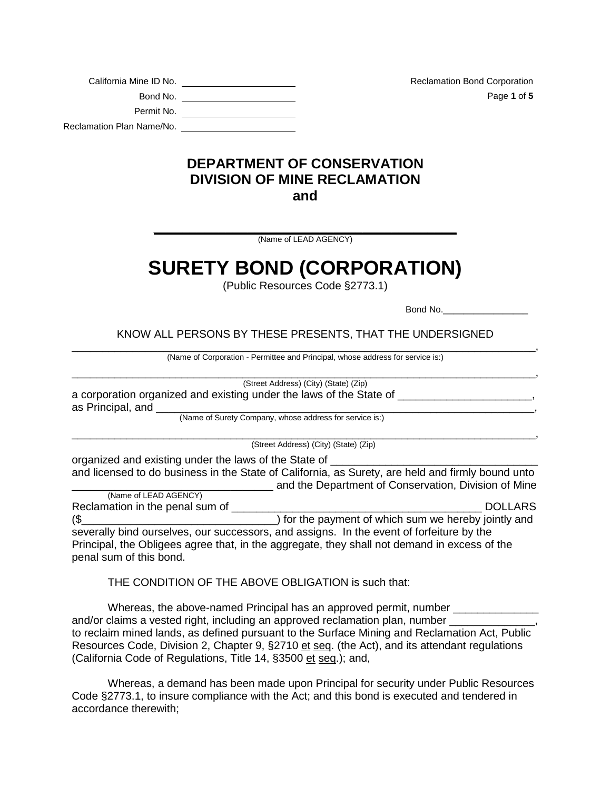| California Mine ID No.    |
|---------------------------|
| Bond No.                  |
| Permit No.                |
| Reclamation Plan Name/No. |

Reclamation Bond Corporation Bond No. Page **1** of **5**

## **DEPARTMENT OF CONSERVATION DIVISION OF MINE RECLAMATION and**

**\_\_\_\_\_\_\_\_\_\_\_\_\_\_\_\_\_\_\_\_\_\_\_\_\_\_\_\_\_\_\_\_\_\_\_\_\_\_\_\_\_\_** (Name of LEAD AGENCY)

## **SURETY BOND (CORPORATION)**

(Public Resources Code §2773.1)

Bond No.

KNOW ALL PERSONS BY THESE PRESENTS, THAT THE UNDERSIGNED

\_\_\_\_\_\_\_\_\_\_\_\_\_\_\_\_\_\_\_\_\_\_\_\_\_\_\_\_\_\_\_\_\_\_\_\_\_\_\_\_\_\_\_\_\_\_\_\_\_\_\_\_\_\_\_\_\_\_\_\_\_\_\_\_\_\_\_\_\_\_\_\_\_\_\_\_, (Name of Corporation - Permittee and Principal, whose address for service is:)

\_\_\_\_\_\_\_\_\_\_\_\_\_\_\_\_\_\_\_\_\_\_\_\_\_\_\_\_\_\_\_\_\_\_\_\_\_\_\_\_\_\_\_\_\_\_\_\_\_\_\_\_\_\_\_\_\_\_\_\_\_\_\_\_\_\_\_\_\_\_\_\_\_\_\_\_, (Street Address) (City) (State) (Zip)

a corporation organized and existing under the laws of the State of \_\_\_\_\_\_\_\_\_\_\_\_ as Principal, and

(Name of Surety Company, whose address for service is:)

\_\_\_\_\_\_\_\_\_\_\_\_\_\_\_\_\_\_\_\_\_\_\_\_\_\_\_\_\_\_\_\_\_\_\_\_\_\_\_\_\_\_\_\_\_\_\_\_\_\_\_\_\_\_\_\_\_\_\_\_\_\_\_\_\_\_\_\_\_\_\_\_\_\_\_\_, (Street Address) (City) (State) (Zip)

organized and existing under the laws of the State of \_\_\_\_\_\_\_\_\_\_\_\_\_\_\_\_\_\_\_\_\_\_\_\_\_\_\_ and licensed to do business in the State of California, as Surety, are held and firmly bound unto and the Department of Conservation, Division of Mine

| (Name of LEAD AGENCY)           |                                                                                              |
|---------------------------------|----------------------------------------------------------------------------------------------|
| Reclamation in the penal sum of | <b>DOLLARS</b>                                                                               |
| $($ \$                          | ) for the payment of which sum we hereby jointly and                                         |
|                                 | severally bind ourselves, our successors, and assigns. In the event of forfeiture by the     |
|                                 | Principal, the Obligees agree that, in the aggregate, they shall not demand in excess of the |
| penal sum of this bond.         |                                                                                              |

THE CONDITION OF THE ABOVE OBLIGATION is such that:

Whereas, the above-named Principal has an approved permit, number \_\_\_\_\_\_\_\_\_\_\_\_\_\_ and/or claims a vested right, including an approved reclamation plan, number to reclaim mined lands, as defined pursuant to the Surface Mining and Reclamation Act, Public Resources Code, Division 2, Chapter 9, §2710 et seq. (the Act), and its attendant regulations (California Code of Regulations, Title 14, §3500 et seq.); and,

Whereas, a demand has been made upon Principal for security under Public Resources Code §2773.1, to insure compliance with the Act; and this bond is executed and tendered in accordance therewith;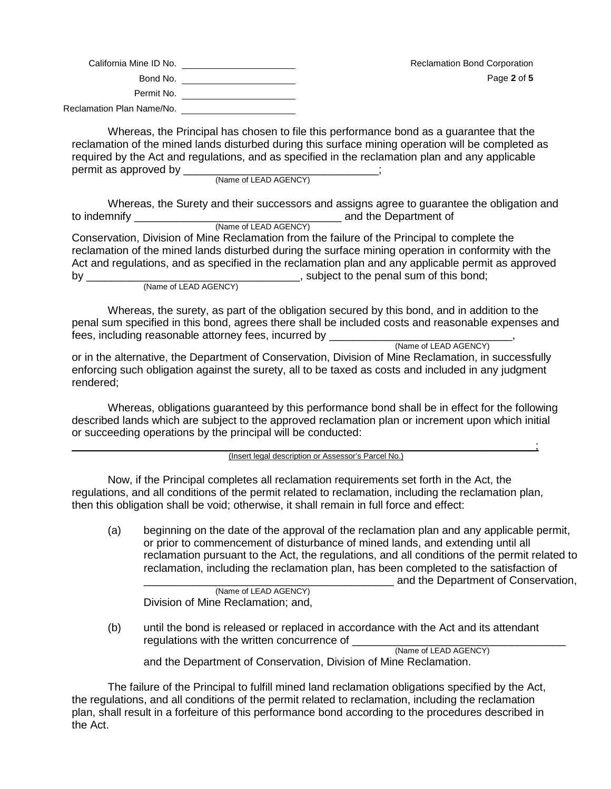| California Mine ID No.    | <b>Reclamation Bond Corporation</b> |
|---------------------------|-------------------------------------|
| Bond No.                  | Page 2 of 5                         |
| Permit No.                |                                     |
| Reclamation Plan Name/No. |                                     |

Whereas, the Principal has chosen to file this performance bond as a guarantee that the reclamation of the mined lands disturbed during this surface mining operation will be completed as required by the Act and regulations, and as specified in the reclamation plan and any applicable permit as approved by \_\_\_\_\_

(Name of LEAD AGENCY)

Whereas, the Surety and their successors and assigns agree to guarantee the obligation and to indemnify \_\_\_\_\_\_\_\_\_\_\_\_\_\_\_\_\_\_\_\_\_\_\_\_\_\_\_\_\_\_\_\_\_\_ and the Department of (Name of LEAD AGENCY)

Conservation, Division of Mine Reclamation from the failure of the Principal to complete the reclamation of the mined lands disturbed during the surface mining operation in conformity with the Act and regulations, and as specified in the reclamation plan and any applicable permit as approved by \_\_\_\_\_\_\_\_\_\_\_\_\_\_\_\_\_\_\_\_\_\_\_\_\_\_\_\_\_\_\_\_\_\_\_, subject to the penal sum of this bond; (Name of LEAD AGENCY)

Whereas, the surety, as part of the obligation secured by this bond, and in addition to the penal sum specified in this bond, agrees there shall be included costs and reasonable expenses and fees, including reasonable attorney fees, incurred by \_\_\_\_\_\_\_\_\_\_\_\_\_\_\_\_\_\_\_\_\_\_\_\_\_\_\_<br>(Name of LEAD AGENCY)

or in the alternative, the Department of Conservation, Division of Mine Reclamation, in successfully enforcing such obligation against the surety, all to be taxed as costs and included in any judgment rendered;

Whereas, obligations guaranteed by this performance bond shall be in effect for the following described lands which are subject to the approved reclamation plan or increment upon which initial or succeeding operations by the principal will be conducted:

\_\_\_\_\_\_\_\_\_\_\_\_\_\_\_\_\_\_\_\_\_\_\_\_\_\_\_\_\_\_\_\_\_\_\_\_\_\_\_\_\_\_\_\_\_\_\_\_\_\_\_\_\_\_\_\_\_\_\_\_\_\_\_\_\_\_\_\_\_\_\_\_\_\_\_\_; (Insert legal description or Assessor's Parcel No.)

Now, if the Principal completes all reclamation requirements set forth in the Act, the regulations, and all conditions of the permit related to reclamation, including the reclamation plan, then this obligation shall be void; otherwise, it shall remain in full force and effect:

(a) beginning on the date of the approval of the reclamation plan and any applicable permit, or prior to commencement of disturbance of mined lands, and extending until all reclamation pursuant to the Act, the regulations, and all conditions of the permit related to reclamation, including the reclamation plan, has been completed to the satisfaction of

\_\_\_\_\_\_\_\_\_\_\_\_\_\_\_\_\_\_\_\_\_\_\_\_\_\_\_\_\_\_\_\_\_\_\_\_\_\_\_\_\_ and the Department of Conservation,

Page **2** of 5

(Name of LEAD AGENCY) Division of Mine Reclamation; and,

(b) until the bond is released or replaced in accordance with the Act and its attendant regulations with the written concurrence of

(Name of LEAD AGENCY)

and the Department of Conservation, Division of Mine Reclamation.

The failure of the Principal to fulfill mined land reclamation obligations specified by the Act, the regulations, and all conditions of the permit related to reclamation, including the reclamation plan, shall result in a forfeiture of this performance bond according to the procedures described in the Act.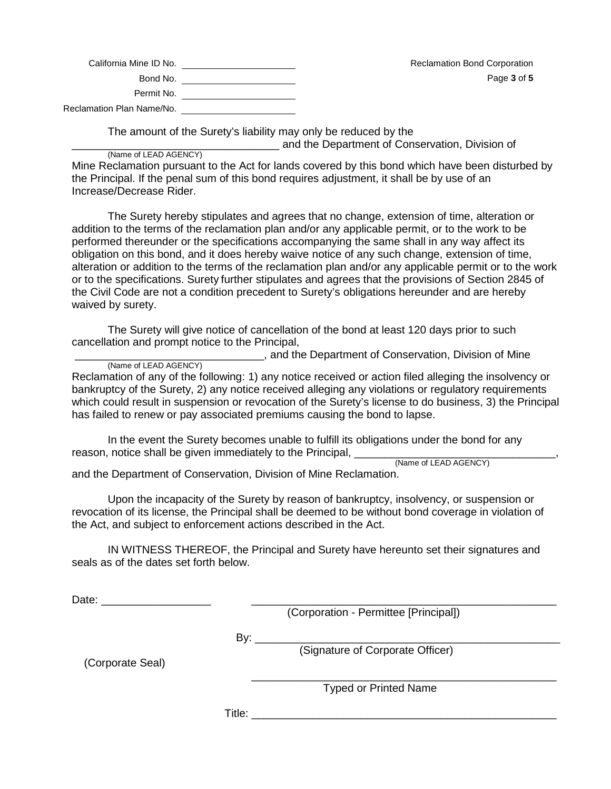| California Mine ID No.    |  |
|---------------------------|--|
| Bond No.                  |  |
| Permit No.                |  |
| Reclamation Plan Name/No. |  |

The amount of the Surety's liability may only be reduced by the

\_\_\_\_\_\_\_\_\_\_\_\_\_\_\_\_\_\_\_\_\_\_\_\_\_\_\_\_\_\_\_\_\_\_ and the Department of Conservation, Division of

(Name of LEAD AGENCY) Mine Reclamation pursuant to the Act for lands covered by this bond which have been disturbed by the Principal. If the penal sum of this bond requires adjustment, it shall be by use of an Increase/Decrease Rider.

The Surety hereby stipulates and agrees that no change, extension of time, alteration or addition to the terms of the reclamation plan and/or any applicable permit, or to the work to be performed thereunder or the specifications accompanying the same shall in any way affect its obligation on this bond, and it does hereby waive notice of any such change, extension of time, alteration or addition to the terms of the reclamation plan and/or any applicable permit or to the work or to the specifications. Surety further stipulates and agrees that the provisions of Section 2845 of the Civil Code are not a condition precedent to Surety's obligations hereunder and are hereby waived by surety.

The Surety will give notice of cancellation of the bond at least 120 days prior to such cancellation and prompt notice to the Principal,

**LECT**, and the Department of Conservation, Division of Mine

(Name of LEAD AGENCY)

Reclamation of any of the following: 1) any notice received or action filed alleging the insolvency or bankruptcy of the Surety, 2) any notice received alleging any violations or regulatory requirements which could result in suspension or revocation of the Surety's license to do business, 3) the Principal has failed to renew or pay associated premiums causing the bond to lapse.

In the event the Surety becomes unable to fulfill its obligations under the bond for any reason, notice shall be given immediately to the Principal, \_\_\_\_\_\_\_\_\_\_\_\_\_\_\_\_\_\_\_\_\_

and the Department of Conservation, Division of Mine Reclamation.

Upon the incapacity of the Surety by reason of bankruptcy, insolvency, or suspension or revocation of its license, the Principal shall be deemed to be without bond coverage in violation of the Act, and subject to enforcement actions described in the Act.

IN WITNESS THEREOF, the Principal and Surety have hereunto set their signatures and seals as of the dates set forth below.

Date: \_\_\_\_\_\_\_\_\_\_\_\_\_\_\_\_\_\_ \_\_\_\_\_\_\_\_\_\_\_\_\_\_\_\_\_\_\_\_\_\_\_\_\_\_\_\_\_\_\_\_\_\_\_\_\_\_\_\_\_\_\_\_\_\_\_\_\_\_

(Corporation - Permittee [Principal])

By: \_\_\_\_\_\_\_\_\_\_\_\_\_\_\_\_\_\_\_\_\_\_\_\_\_\_\_\_\_\_\_\_\_\_\_\_\_\_\_\_\_\_\_\_\_\_\_\_\_\_

(Corporate Seal)

(Signature of Corporate Officer)

\_\_\_\_\_\_\_\_\_\_\_\_\_\_\_\_\_\_\_\_\_\_\_\_\_\_\_\_\_\_\_\_\_\_\_\_\_\_\_\_\_\_\_\_\_\_\_\_\_\_ Typed or Printed Name

Title: \_\_\_\_\_\_\_\_\_\_\_\_\_\_\_\_\_\_\_\_\_\_\_\_\_\_\_\_\_\_\_\_\_\_\_\_\_\_\_\_\_\_\_\_\_\_\_\_\_\_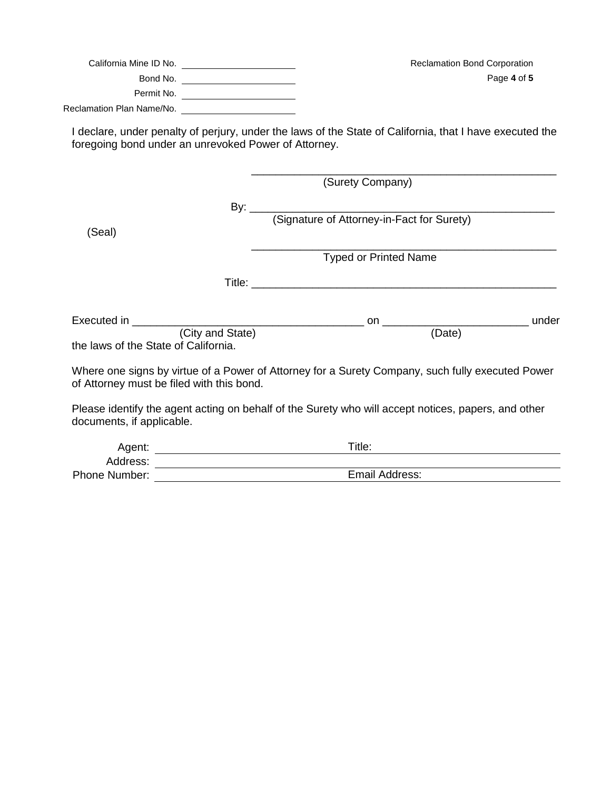|                                                      | Reclamation Bond Corporation                                                                             |
|------------------------------------------------------|----------------------------------------------------------------------------------------------------------|
|                                                      | Page 4 of 5                                                                                              |
|                                                      |                                                                                                          |
|                                                      |                                                                                                          |
| foregoing bond under an unrevoked Power of Attorney. | I declare, under penalty of perjury, under the laws of the State of California, that I have executed the |
|                                                      | (Surety Company)                                                                                         |
|                                                      |                                                                                                          |
|                                                      |                                                                                                          |
| (Seal)                                               |                                                                                                          |
|                                                      | <b>Typed or Printed Name</b>                                                                             |
|                                                      |                                                                                                          |
|                                                      |                                                                                                          |
| (City and State)                                     | (Date)                                                                                                   |
| the laws of the State of California.                 |                                                                                                          |
| of Attorney must be filed with this bond.            | Where one signs by virtue of a Power of Attorney for a Surety Company, such fully executed Power         |
| documents, if applicable.                            | Please identify the agent acting on behalf of the Surety who will accept notices, papers, and other      |

| Agent:               | $\tau$ itle:   |
|----------------------|----------------|
| Address:             |                |
| <b>Phone Number:</b> | Email Address: |